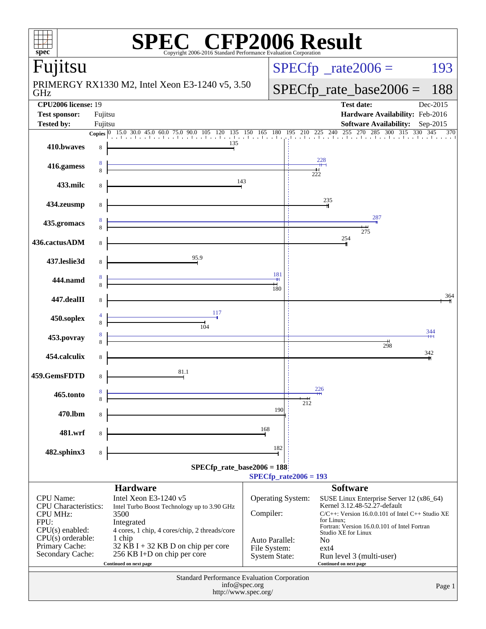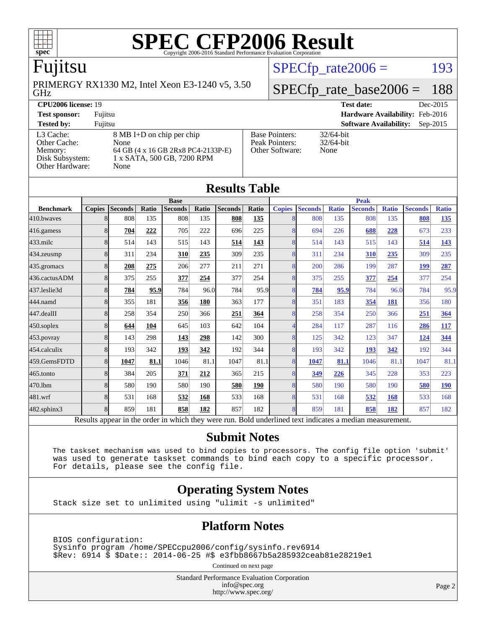

### Fujitsu

GHz PRIMERGY RX1330 M2, Intel Xeon E3-1240 v5, 3.50  $SPECTp\_rate2006 = 193$ 

## [SPECfp\\_rate\\_base2006 =](http://www.spec.org/auto/cpu2006/Docs/result-fields.html#SPECfpratebase2006) 188

#### **[CPU2006 license:](http://www.spec.org/auto/cpu2006/Docs/result-fields.html#CPU2006license)** 19 **[Test date:](http://www.spec.org/auto/cpu2006/Docs/result-fields.html#Testdate)** Dec-2015 **[Test sponsor:](http://www.spec.org/auto/cpu2006/Docs/result-fields.html#Testsponsor)** Fujitsu **[Hardware Availability:](http://www.spec.org/auto/cpu2006/Docs/result-fields.html#HardwareAvailability)** Feb-2016 **[Tested by:](http://www.spec.org/auto/cpu2006/Docs/result-fields.html#Testedby)** Fujitsu **[Software Availability:](http://www.spec.org/auto/cpu2006/Docs/result-fields.html#SoftwareAvailability)** Sep-2015 [L3 Cache:](http://www.spec.org/auto/cpu2006/Docs/result-fields.html#L3Cache) 8 MB I+D on chip per chip<br>Other Cache: None [Other Cache:](http://www.spec.org/auto/cpu2006/Docs/result-fields.html#OtherCache) [Memory:](http://www.spec.org/auto/cpu2006/Docs/result-fields.html#Memory) 64 GB (4 x 16 GB 2Rx8 PC4-2133P-E) [Disk Subsystem:](http://www.spec.org/auto/cpu2006/Docs/result-fields.html#DiskSubsystem) 1 x SATA, 500 GB, 7200 RPM [Other Hardware:](http://www.spec.org/auto/cpu2006/Docs/result-fields.html#OtherHardware) None [Base Pointers:](http://www.spec.org/auto/cpu2006/Docs/result-fields.html#BasePointers) 32/64-bit<br>Peak Pointers: 32/64-bit [Peak Pointers:](http://www.spec.org/auto/cpu2006/Docs/result-fields.html#PeakPointers) [Other Software:](http://www.spec.org/auto/cpu2006/Docs/result-fields.html#OtherSoftware) None

| <b>Results Table</b> |               |                |       |                                                                                                          |       |                |       |                          |                |              |                |              |                |              |
|----------------------|---------------|----------------|-------|----------------------------------------------------------------------------------------------------------|-------|----------------|-------|--------------------------|----------------|--------------|----------------|--------------|----------------|--------------|
|                      | <b>Base</b>   |                |       |                                                                                                          |       |                |       | <b>Peak</b>              |                |              |                |              |                |              |
| <b>Benchmark</b>     | <b>Copies</b> | <b>Seconds</b> | Ratio | <b>Seconds</b>                                                                                           | Ratio | <b>Seconds</b> | Ratio | <b>Copies</b>            | <b>Seconds</b> | <b>Ratio</b> | <b>Seconds</b> | <b>Ratio</b> | <b>Seconds</b> | <b>Ratio</b> |
| 410.bwayes           | 8             | 808            | 135   | 808                                                                                                      | 135   | 808            | 135   | 8                        | 808            | 135          | 808            | 135          | 808            | <u>135</u>   |
| 416.gamess           | 8             | 704            | 222   | 705                                                                                                      | 222   | 696            | 225   | 8                        | 694            | 226          | 688            | 228          | 673            | 233          |
| 433.milc             | 8             | 514            | 143   | 515                                                                                                      | 143   | 514            | 143   | 8                        | 514            | 143          | 515            | 143          | 514            | <u>143</u>   |
| $434$ . zeusmp       | 8             | 311            | 234   | 310                                                                                                      | 235   | 309            | 235   | 8                        | 311            | 234          | 310            | 235          | 309            | 235          |
| 435.gromacs          | 8             | 208            | 275   | 206                                                                                                      | 277   | 211            | 271   | 8                        | 200            | 286          | 199            | 287          | 199            | 287          |
| 436.cactusADM        | 8             | 375            | 255   | 377                                                                                                      | 254   | 377            | 254   | 8                        | 375            | 255          | 377            | 254          | 377            | 254          |
| 437.leslie3d         | 8             | 784            | 95.9  | 784                                                                                                      | 96.0  | 784            | 95.9  | 8                        | 784            | 95.9         | 784            | 96.0         | 784            | 95.9         |
| 444.namd             | 8             | 355            | 181   | 356                                                                                                      | 180   | 363            | 177   | 8                        | 351            | 183          | 354            | 181          | 356            | 180          |
| 447.dealII           | 8             | 258            | 354   | 250                                                                                                      | 366   | 251            | 364   | 8                        | 258            | 354          | 250            | 366          | 251            | 364          |
| 450.soplex           | 8             | 644            | 104   | 645                                                                                                      | 103   | 642            | 104   | $\boldsymbol{\varDelta}$ | 284            | 117          | 287            | 116          | 286            | 117          |
| $453$ .povray        | 8             | 143            | 298   | 143                                                                                                      | 298   | 142            | 300   | 8                        | 125            | 342          | 123            | 347          | 124            | 344          |
| 454.calculix         | 8             | 193            | 342   | 193                                                                                                      | 342   | 192            | 344   | 8                        | 193            | 342          | 193            | 342          | 192            | 344          |
| 459.GemsFDTD         | 8             | 1047           | 81.1  | 1046                                                                                                     | 81.1  | 1047           | 81.1  | 8                        | 1047           | 81.1         | 1046           | 81.1         | 1047           | 81.1         |
| 465.tonto            | 8             | 384            | 205   | 371                                                                                                      | 212   | 365            | 215   | 8                        | 349            | 226          | 345            | 228          | 353            | 223          |
| 470.1bm              | 8             | 580            | 190   | 580                                                                                                      | 190   | 580            | 190   | 8                        | 580            | 190          | 580            | 190          | 580            | <u>190</u>   |
| 481.wrf              | 8             | 531            | 168   | 532                                                                                                      | 168   | 533            | 168   | 8                        | 531            | 168          | 532            | 168          | 533            | 168          |
| $482$ .sphinx $3$    | 8             | 859            | 181   | 858                                                                                                      | 182   | 857            | 182   | 8                        | 859            | 181          | 858            | 182          | 857            | 182          |
|                      |               |                |       | Results appear in the order in which they were run. Bold underlined text indicates a median measurement. |       |                |       |                          |                |              |                |              |                |              |

#### **[Submit Notes](http://www.spec.org/auto/cpu2006/Docs/result-fields.html#SubmitNotes)**

 The taskset mechanism was used to bind copies to processors. The config file option 'submit' was used to generate taskset commands to bind each copy to a specific processor. For details, please see the config file.

#### **[Operating System Notes](http://www.spec.org/auto/cpu2006/Docs/result-fields.html#OperatingSystemNotes)**

Stack size set to unlimited using "ulimit -s unlimited"

#### **[Platform Notes](http://www.spec.org/auto/cpu2006/Docs/result-fields.html#PlatformNotes)**

 BIOS configuration: Sysinfo program /home/SPECcpu2006/config/sysinfo.rev6914 \$Rev: 6914 \$ \$Date:: 2014-06-25 #\$ e3fbb8667b5a285932ceab81e28219e1

Continued on next page

Standard Performance Evaluation Corporation [info@spec.org](mailto:info@spec.org) <http://www.spec.org/>

Page 2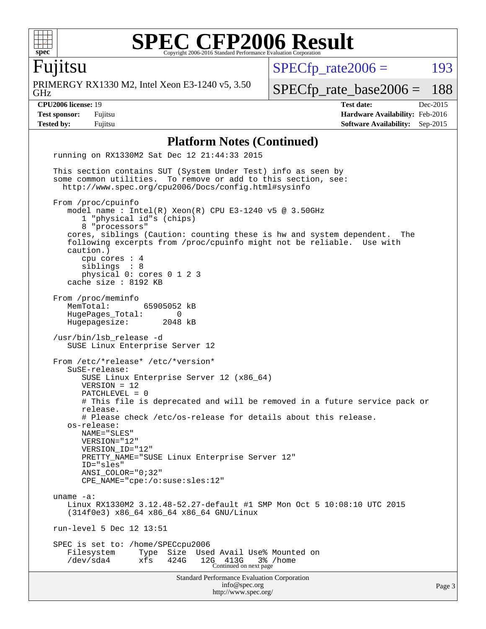

#### Fujitsu

GHz PRIMERGY RX1330 M2, Intel Xeon E3-1240 v5, 3.50  $SPECTp_rate2006 = 193$ 

[SPECfp\\_rate\\_base2006 =](http://www.spec.org/auto/cpu2006/Docs/result-fields.html#SPECfpratebase2006) 188

**[CPU2006 license:](http://www.spec.org/auto/cpu2006/Docs/result-fields.html#CPU2006license)** 19 **[Test date:](http://www.spec.org/auto/cpu2006/Docs/result-fields.html#Testdate)** Dec-2015 **[Test sponsor:](http://www.spec.org/auto/cpu2006/Docs/result-fields.html#Testsponsor)** Fujitsu **[Hardware Availability:](http://www.spec.org/auto/cpu2006/Docs/result-fields.html#HardwareAvailability)** Feb-2016 **[Tested by:](http://www.spec.org/auto/cpu2006/Docs/result-fields.html#Testedby)** Fujitsu **[Software Availability:](http://www.spec.org/auto/cpu2006/Docs/result-fields.html#SoftwareAvailability)** Sep-2015

#### **[Platform Notes \(Continued\)](http://www.spec.org/auto/cpu2006/Docs/result-fields.html#PlatformNotes)**

Standard Performance Evaluation Corporation [info@spec.org](mailto:info@spec.org) <http://www.spec.org/> Page 3 running on RX1330M2 Sat Dec 12 21:44:33 2015 This section contains SUT (System Under Test) info as seen by some common utilities. To remove or add to this section, see: <http://www.spec.org/cpu2006/Docs/config.html#sysinfo> From /proc/cpuinfo model name : Intel(R) Xeon(R) CPU E3-1240 v5 @ 3.50GHz 1 "physical id"s (chips) 8 "processors" cores, siblings (Caution: counting these is hw and system dependent. The following excerpts from /proc/cpuinfo might not be reliable. Use with caution.) cpu cores : 4 siblings : 8 physical 0: cores 0 1 2 3 cache size : 8192 KB From /proc/meminfo<br>MemTotal: 65905052 kB HugePages\_Total: 0 Hugepagesize: 2048 kB /usr/bin/lsb\_release -d SUSE Linux Enterprise Server 12 From /etc/\*release\* /etc/\*version\* SuSE-release: SUSE Linux Enterprise Server 12 (x86\_64) VERSION = 12 PATCHLEVEL = 0 # This file is deprecated and will be removed in a future service pack or release. # Please check /etc/os-release for details about this release. os-release: NAME="SLES" VERSION="12" VERSION\_ID="12" PRETTY\_NAME="SUSE Linux Enterprise Server 12" ID="sles" ANSI\_COLOR="0;32" CPE\_NAME="cpe:/o:suse:sles:12" uname -a: Linux RX1330M2 3.12.48-52.27-default #1 SMP Mon Oct 5 10:08:10 UTC 2015 (314f0e3) x86\_64 x86\_64 x86\_64 GNU/Linux run-level 5 Dec 12 13:51 SPEC is set to: /home/SPECcpu2006 Filesystem Type Size Used Avail Use% Mounted on /dev/sda4 xfs 424G 12G 413G 3% /home Continued on next page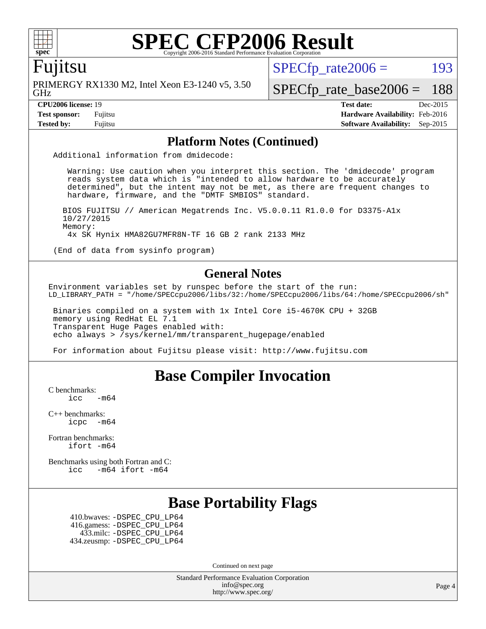

#### Fujitsu

GHz PRIMERGY RX1330 M2, Intel Xeon E3-1240 v5, 3.50  $SPECTp\_rate2006 = 193$ 

#### [SPECfp\\_rate\\_base2006 =](http://www.spec.org/auto/cpu2006/Docs/result-fields.html#SPECfpratebase2006) 188

**[CPU2006 license:](http://www.spec.org/auto/cpu2006/Docs/result-fields.html#CPU2006license)** 19 **[Test date:](http://www.spec.org/auto/cpu2006/Docs/result-fields.html#Testdate)** Dec-2015 **[Test sponsor:](http://www.spec.org/auto/cpu2006/Docs/result-fields.html#Testsponsor)** Fujitsu **[Hardware Availability:](http://www.spec.org/auto/cpu2006/Docs/result-fields.html#HardwareAvailability)** Feb-2016 **[Tested by:](http://www.spec.org/auto/cpu2006/Docs/result-fields.html#Testedby)** Fujitsu **[Software Availability:](http://www.spec.org/auto/cpu2006/Docs/result-fields.html#SoftwareAvailability)** Sep-2015

#### **[Platform Notes \(Continued\)](http://www.spec.org/auto/cpu2006/Docs/result-fields.html#PlatformNotes)**

Additional information from dmidecode:

 Warning: Use caution when you interpret this section. The 'dmidecode' program reads system data which is "intended to allow hardware to be accurately determined", but the intent may not be met, as there are frequent changes to hardware, firmware, and the "DMTF SMBIOS" standard.

 BIOS FUJITSU // American Megatrends Inc. V5.0.0.11 R1.0.0 for D3375-A1x 10/27/2015 Memory: 4x SK Hynix HMA82GU7MFR8N-TF 16 GB 2 rank 2133 MHz

(End of data from sysinfo program)

#### **[General Notes](http://www.spec.org/auto/cpu2006/Docs/result-fields.html#GeneralNotes)**

Environment variables set by runspec before the start of the run: LD\_LIBRARY\_PATH = "/home/SPECcpu2006/libs/32:/home/SPECcpu2006/libs/64:/home/SPECcpu2006/sh"

 Binaries compiled on a system with 1x Intel Core i5-4670K CPU + 32GB memory using RedHat EL 7.1 Transparent Huge Pages enabled with: echo always > /sys/kernel/mm/transparent\_hugepage/enabled

For information about Fujitsu please visit: <http://www.fujitsu.com>

### **[Base Compiler Invocation](http://www.spec.org/auto/cpu2006/Docs/result-fields.html#BaseCompilerInvocation)**

[C benchmarks](http://www.spec.org/auto/cpu2006/Docs/result-fields.html#Cbenchmarks):

 $\text{icc}$   $-\text{m64}$ 

[C++ benchmarks:](http://www.spec.org/auto/cpu2006/Docs/result-fields.html#CXXbenchmarks) [icpc -m64](http://www.spec.org/cpu2006/results/res2016q1/cpu2006-20160111-38670.flags.html#user_CXXbase_intel_icpc_64bit_bedb90c1146cab66620883ef4f41a67e)

[Fortran benchmarks](http://www.spec.org/auto/cpu2006/Docs/result-fields.html#Fortranbenchmarks): [ifort -m64](http://www.spec.org/cpu2006/results/res2016q1/cpu2006-20160111-38670.flags.html#user_FCbase_intel_ifort_64bit_ee9d0fb25645d0210d97eb0527dcc06e)

[Benchmarks using both Fortran and C](http://www.spec.org/auto/cpu2006/Docs/result-fields.html#BenchmarksusingbothFortranandC): [icc -m64](http://www.spec.org/cpu2006/results/res2016q1/cpu2006-20160111-38670.flags.html#user_CC_FCbase_intel_icc_64bit_0b7121f5ab7cfabee23d88897260401c) [ifort -m64](http://www.spec.org/cpu2006/results/res2016q1/cpu2006-20160111-38670.flags.html#user_CC_FCbase_intel_ifort_64bit_ee9d0fb25645d0210d97eb0527dcc06e)

### **[Base Portability Flags](http://www.spec.org/auto/cpu2006/Docs/result-fields.html#BasePortabilityFlags)**

 410.bwaves: [-DSPEC\\_CPU\\_LP64](http://www.spec.org/cpu2006/results/res2016q1/cpu2006-20160111-38670.flags.html#suite_basePORTABILITY410_bwaves_DSPEC_CPU_LP64) 416.gamess: [-DSPEC\\_CPU\\_LP64](http://www.spec.org/cpu2006/results/res2016q1/cpu2006-20160111-38670.flags.html#suite_basePORTABILITY416_gamess_DSPEC_CPU_LP64) 433.milc: [-DSPEC\\_CPU\\_LP64](http://www.spec.org/cpu2006/results/res2016q1/cpu2006-20160111-38670.flags.html#suite_basePORTABILITY433_milc_DSPEC_CPU_LP64) 434.zeusmp: [-DSPEC\\_CPU\\_LP64](http://www.spec.org/cpu2006/results/res2016q1/cpu2006-20160111-38670.flags.html#suite_basePORTABILITY434_zeusmp_DSPEC_CPU_LP64)

Continued on next page

Standard Performance Evaluation Corporation [info@spec.org](mailto:info@spec.org) <http://www.spec.org/>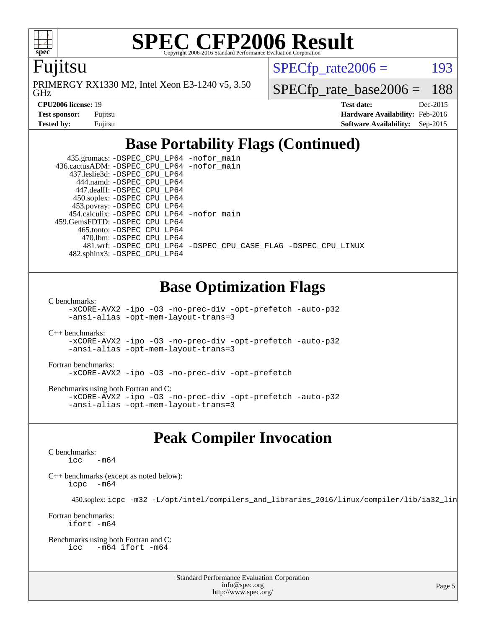

Fujitsu

GHz PRIMERGY RX1330 M2, Intel Xeon E3-1240 v5, 3.50  $SPECTp\_rate2006 = 193$ 

[SPECfp\\_rate\\_base2006 =](http://www.spec.org/auto/cpu2006/Docs/result-fields.html#SPECfpratebase2006) 188

| <b>Test sponsor:</b> | Fujitsu |
|----------------------|---------|
| Tested by:           | Fuiitsu |

**[CPU2006 license:](http://www.spec.org/auto/cpu2006/Docs/result-fields.html#CPU2006license)** 19 **[Test date:](http://www.spec.org/auto/cpu2006/Docs/result-fields.html#Testdate)** Dec-2015 **[Hardware Availability:](http://www.spec.org/auto/cpu2006/Docs/result-fields.html#HardwareAvailability)** Feb-2016 **[Software Availability:](http://www.spec.org/auto/cpu2006/Docs/result-fields.html#SoftwareAvailability)** Sep-2015

### **[Base Portability Flags \(Continued\)](http://www.spec.org/auto/cpu2006/Docs/result-fields.html#BasePortabilityFlags)**

 435.gromacs: [-DSPEC\\_CPU\\_LP64](http://www.spec.org/cpu2006/results/res2016q1/cpu2006-20160111-38670.flags.html#suite_basePORTABILITY435_gromacs_DSPEC_CPU_LP64) [-nofor\\_main](http://www.spec.org/cpu2006/results/res2016q1/cpu2006-20160111-38670.flags.html#user_baseLDPORTABILITY435_gromacs_f-nofor_main) 436.cactusADM: [-DSPEC\\_CPU\\_LP64](http://www.spec.org/cpu2006/results/res2016q1/cpu2006-20160111-38670.flags.html#suite_basePORTABILITY436_cactusADM_DSPEC_CPU_LP64) [-nofor\\_main](http://www.spec.org/cpu2006/results/res2016q1/cpu2006-20160111-38670.flags.html#user_baseLDPORTABILITY436_cactusADM_f-nofor_main) 437.leslie3d: [-DSPEC\\_CPU\\_LP64](http://www.spec.org/cpu2006/results/res2016q1/cpu2006-20160111-38670.flags.html#suite_basePORTABILITY437_leslie3d_DSPEC_CPU_LP64) 444.namd: [-DSPEC\\_CPU\\_LP64](http://www.spec.org/cpu2006/results/res2016q1/cpu2006-20160111-38670.flags.html#suite_basePORTABILITY444_namd_DSPEC_CPU_LP64) 447.dealII: [-DSPEC\\_CPU\\_LP64](http://www.spec.org/cpu2006/results/res2016q1/cpu2006-20160111-38670.flags.html#suite_basePORTABILITY447_dealII_DSPEC_CPU_LP64) 450.soplex: [-DSPEC\\_CPU\\_LP64](http://www.spec.org/cpu2006/results/res2016q1/cpu2006-20160111-38670.flags.html#suite_basePORTABILITY450_soplex_DSPEC_CPU_LP64) 453.povray: [-DSPEC\\_CPU\\_LP64](http://www.spec.org/cpu2006/results/res2016q1/cpu2006-20160111-38670.flags.html#suite_basePORTABILITY453_povray_DSPEC_CPU_LP64) 454.calculix: [-DSPEC\\_CPU\\_LP64](http://www.spec.org/cpu2006/results/res2016q1/cpu2006-20160111-38670.flags.html#suite_basePORTABILITY454_calculix_DSPEC_CPU_LP64) [-nofor\\_main](http://www.spec.org/cpu2006/results/res2016q1/cpu2006-20160111-38670.flags.html#user_baseLDPORTABILITY454_calculix_f-nofor_main) 459.GemsFDTD: [-DSPEC\\_CPU\\_LP64](http://www.spec.org/cpu2006/results/res2016q1/cpu2006-20160111-38670.flags.html#suite_basePORTABILITY459_GemsFDTD_DSPEC_CPU_LP64) 465.tonto: [-DSPEC\\_CPU\\_LP64](http://www.spec.org/cpu2006/results/res2016q1/cpu2006-20160111-38670.flags.html#suite_basePORTABILITY465_tonto_DSPEC_CPU_LP64) 470.lbm: [-DSPEC\\_CPU\\_LP64](http://www.spec.org/cpu2006/results/res2016q1/cpu2006-20160111-38670.flags.html#suite_basePORTABILITY470_lbm_DSPEC_CPU_LP64) 481.wrf: [-DSPEC\\_CPU\\_LP64](http://www.spec.org/cpu2006/results/res2016q1/cpu2006-20160111-38670.flags.html#suite_basePORTABILITY481_wrf_DSPEC_CPU_LP64) [-DSPEC\\_CPU\\_CASE\\_FLAG](http://www.spec.org/cpu2006/results/res2016q1/cpu2006-20160111-38670.flags.html#b481.wrf_baseCPORTABILITY_DSPEC_CPU_CASE_FLAG) [-DSPEC\\_CPU\\_LINUX](http://www.spec.org/cpu2006/results/res2016q1/cpu2006-20160111-38670.flags.html#b481.wrf_baseCPORTABILITY_DSPEC_CPU_LINUX) 482.sphinx3: [-DSPEC\\_CPU\\_LP64](http://www.spec.org/cpu2006/results/res2016q1/cpu2006-20160111-38670.flags.html#suite_basePORTABILITY482_sphinx3_DSPEC_CPU_LP64)

### **[Base Optimization Flags](http://www.spec.org/auto/cpu2006/Docs/result-fields.html#BaseOptimizationFlags)**

[C benchmarks](http://www.spec.org/auto/cpu2006/Docs/result-fields.html#Cbenchmarks):

[-xCORE-AVX2](http://www.spec.org/cpu2006/results/res2016q1/cpu2006-20160111-38670.flags.html#user_CCbase_f-xAVX2_5f5fc0cbe2c9f62c816d3e45806c70d7) [-ipo](http://www.spec.org/cpu2006/results/res2016q1/cpu2006-20160111-38670.flags.html#user_CCbase_f-ipo) [-O3](http://www.spec.org/cpu2006/results/res2016q1/cpu2006-20160111-38670.flags.html#user_CCbase_f-O3) [-no-prec-div](http://www.spec.org/cpu2006/results/res2016q1/cpu2006-20160111-38670.flags.html#user_CCbase_f-no-prec-div) [-opt-prefetch](http://www.spec.org/cpu2006/results/res2016q1/cpu2006-20160111-38670.flags.html#user_CCbase_f-opt-prefetch) [-auto-p32](http://www.spec.org/cpu2006/results/res2016q1/cpu2006-20160111-38670.flags.html#user_CCbase_f-auto-p32) [-ansi-alias](http://www.spec.org/cpu2006/results/res2016q1/cpu2006-20160111-38670.flags.html#user_CCbase_f-ansi-alias) [-opt-mem-layout-trans=3](http://www.spec.org/cpu2006/results/res2016q1/cpu2006-20160111-38670.flags.html#user_CCbase_f-opt-mem-layout-trans_a7b82ad4bd7abf52556d4961a2ae94d5)

[C++ benchmarks:](http://www.spec.org/auto/cpu2006/Docs/result-fields.html#CXXbenchmarks) [-xCORE-AVX2](http://www.spec.org/cpu2006/results/res2016q1/cpu2006-20160111-38670.flags.html#user_CXXbase_f-xAVX2_5f5fc0cbe2c9f62c816d3e45806c70d7) [-ipo](http://www.spec.org/cpu2006/results/res2016q1/cpu2006-20160111-38670.flags.html#user_CXXbase_f-ipo) [-O3](http://www.spec.org/cpu2006/results/res2016q1/cpu2006-20160111-38670.flags.html#user_CXXbase_f-O3) [-no-prec-div](http://www.spec.org/cpu2006/results/res2016q1/cpu2006-20160111-38670.flags.html#user_CXXbase_f-no-prec-div) [-opt-prefetch](http://www.spec.org/cpu2006/results/res2016q1/cpu2006-20160111-38670.flags.html#user_CXXbase_f-opt-prefetch) [-auto-p32](http://www.spec.org/cpu2006/results/res2016q1/cpu2006-20160111-38670.flags.html#user_CXXbase_f-auto-p32) [-ansi-alias](http://www.spec.org/cpu2006/results/res2016q1/cpu2006-20160111-38670.flags.html#user_CXXbase_f-ansi-alias) [-opt-mem-layout-trans=3](http://www.spec.org/cpu2006/results/res2016q1/cpu2006-20160111-38670.flags.html#user_CXXbase_f-opt-mem-layout-trans_a7b82ad4bd7abf52556d4961a2ae94d5)

[Fortran benchmarks](http://www.spec.org/auto/cpu2006/Docs/result-fields.html#Fortranbenchmarks): [-xCORE-AVX2](http://www.spec.org/cpu2006/results/res2016q1/cpu2006-20160111-38670.flags.html#user_FCbase_f-xAVX2_5f5fc0cbe2c9f62c816d3e45806c70d7) [-ipo](http://www.spec.org/cpu2006/results/res2016q1/cpu2006-20160111-38670.flags.html#user_FCbase_f-ipo) [-O3](http://www.spec.org/cpu2006/results/res2016q1/cpu2006-20160111-38670.flags.html#user_FCbase_f-O3) [-no-prec-div](http://www.spec.org/cpu2006/results/res2016q1/cpu2006-20160111-38670.flags.html#user_FCbase_f-no-prec-div) [-opt-prefetch](http://www.spec.org/cpu2006/results/res2016q1/cpu2006-20160111-38670.flags.html#user_FCbase_f-opt-prefetch)

[Benchmarks using both Fortran and C](http://www.spec.org/auto/cpu2006/Docs/result-fields.html#BenchmarksusingbothFortranandC): [-xCORE-AVX2](http://www.spec.org/cpu2006/results/res2016q1/cpu2006-20160111-38670.flags.html#user_CC_FCbase_f-xAVX2_5f5fc0cbe2c9f62c816d3e45806c70d7) [-ipo](http://www.spec.org/cpu2006/results/res2016q1/cpu2006-20160111-38670.flags.html#user_CC_FCbase_f-ipo) [-O3](http://www.spec.org/cpu2006/results/res2016q1/cpu2006-20160111-38670.flags.html#user_CC_FCbase_f-O3) [-no-prec-div](http://www.spec.org/cpu2006/results/res2016q1/cpu2006-20160111-38670.flags.html#user_CC_FCbase_f-no-prec-div) [-opt-prefetch](http://www.spec.org/cpu2006/results/res2016q1/cpu2006-20160111-38670.flags.html#user_CC_FCbase_f-opt-prefetch) [-auto-p32](http://www.spec.org/cpu2006/results/res2016q1/cpu2006-20160111-38670.flags.html#user_CC_FCbase_f-auto-p32) [-ansi-alias](http://www.spec.org/cpu2006/results/res2016q1/cpu2006-20160111-38670.flags.html#user_CC_FCbase_f-ansi-alias) [-opt-mem-layout-trans=3](http://www.spec.org/cpu2006/results/res2016q1/cpu2006-20160111-38670.flags.html#user_CC_FCbase_f-opt-mem-layout-trans_a7b82ad4bd7abf52556d4961a2ae94d5)

### **[Peak Compiler Invocation](http://www.spec.org/auto/cpu2006/Docs/result-fields.html#PeakCompilerInvocation)**

[C benchmarks](http://www.spec.org/auto/cpu2006/Docs/result-fields.html#Cbenchmarks):  $\text{icc}$   $-\text{m64}$ 

[C++ benchmarks \(except as noted below\):](http://www.spec.org/auto/cpu2006/Docs/result-fields.html#CXXbenchmarksexceptasnotedbelow) [icpc -m64](http://www.spec.org/cpu2006/results/res2016q1/cpu2006-20160111-38670.flags.html#user_CXXpeak_intel_icpc_64bit_bedb90c1146cab66620883ef4f41a67e)

450.soplex: [icpc -m32 -L/opt/intel/compilers\\_and\\_libraries\\_2016/linux/compiler/lib/ia32\\_lin](http://www.spec.org/cpu2006/results/res2016q1/cpu2006-20160111-38670.flags.html#user_peakCXXLD450_soplex_intel_icpc_b4f50a394bdb4597aa5879c16bc3f5c5)

[Fortran benchmarks](http://www.spec.org/auto/cpu2006/Docs/result-fields.html#Fortranbenchmarks): [ifort -m64](http://www.spec.org/cpu2006/results/res2016q1/cpu2006-20160111-38670.flags.html#user_FCpeak_intel_ifort_64bit_ee9d0fb25645d0210d97eb0527dcc06e)

[Benchmarks using both Fortran and C](http://www.spec.org/auto/cpu2006/Docs/result-fields.html#BenchmarksusingbothFortranandC): [icc -m64](http://www.spec.org/cpu2006/results/res2016q1/cpu2006-20160111-38670.flags.html#user_CC_FCpeak_intel_icc_64bit_0b7121f5ab7cfabee23d88897260401c) [ifort -m64](http://www.spec.org/cpu2006/results/res2016q1/cpu2006-20160111-38670.flags.html#user_CC_FCpeak_intel_ifort_64bit_ee9d0fb25645d0210d97eb0527dcc06e)

> Standard Performance Evaluation Corporation [info@spec.org](mailto:info@spec.org) <http://www.spec.org/>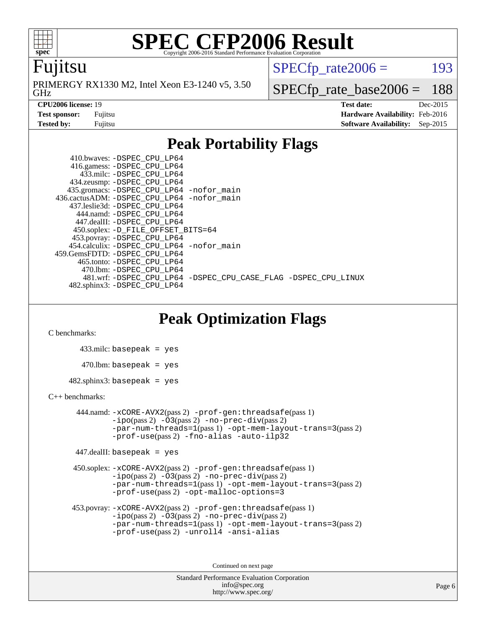

#### Fujitsu

GHz PRIMERGY RX1330 M2, Intel Xeon E3-1240 v5, 3.50  $SPECTp\_rate2006 = 193$ 

[SPECfp\\_rate\\_base2006 =](http://www.spec.org/auto/cpu2006/Docs/result-fields.html#SPECfpratebase2006) 188

**[CPU2006 license:](http://www.spec.org/auto/cpu2006/Docs/result-fields.html#CPU2006license)** 19 **[Test date:](http://www.spec.org/auto/cpu2006/Docs/result-fields.html#Testdate)** Dec-2015 **[Test sponsor:](http://www.spec.org/auto/cpu2006/Docs/result-fields.html#Testsponsor)** Fujitsu **[Hardware Availability:](http://www.spec.org/auto/cpu2006/Docs/result-fields.html#HardwareAvailability)** Feb-2016 **[Tested by:](http://www.spec.org/auto/cpu2006/Docs/result-fields.html#Testedby)** Fujitsu **[Software Availability:](http://www.spec.org/auto/cpu2006/Docs/result-fields.html#SoftwareAvailability)** Sep-2015

### **[Peak Portability Flags](http://www.spec.org/auto/cpu2006/Docs/result-fields.html#PeakPortabilityFlags)**

 410.bwaves: [-DSPEC\\_CPU\\_LP64](http://www.spec.org/cpu2006/results/res2016q1/cpu2006-20160111-38670.flags.html#suite_peakPORTABILITY410_bwaves_DSPEC_CPU_LP64) 416.gamess: [-DSPEC\\_CPU\\_LP64](http://www.spec.org/cpu2006/results/res2016q1/cpu2006-20160111-38670.flags.html#suite_peakPORTABILITY416_gamess_DSPEC_CPU_LP64) 433.milc: [-DSPEC\\_CPU\\_LP64](http://www.spec.org/cpu2006/results/res2016q1/cpu2006-20160111-38670.flags.html#suite_peakPORTABILITY433_milc_DSPEC_CPU_LP64) 434.zeusmp: [-DSPEC\\_CPU\\_LP64](http://www.spec.org/cpu2006/results/res2016q1/cpu2006-20160111-38670.flags.html#suite_peakPORTABILITY434_zeusmp_DSPEC_CPU_LP64) 435.gromacs: [-DSPEC\\_CPU\\_LP64](http://www.spec.org/cpu2006/results/res2016q1/cpu2006-20160111-38670.flags.html#suite_peakPORTABILITY435_gromacs_DSPEC_CPU_LP64) [-nofor\\_main](http://www.spec.org/cpu2006/results/res2016q1/cpu2006-20160111-38670.flags.html#user_peakLDPORTABILITY435_gromacs_f-nofor_main) 436.cactusADM: [-DSPEC\\_CPU\\_LP64](http://www.spec.org/cpu2006/results/res2016q1/cpu2006-20160111-38670.flags.html#suite_peakPORTABILITY436_cactusADM_DSPEC_CPU_LP64) [-nofor\\_main](http://www.spec.org/cpu2006/results/res2016q1/cpu2006-20160111-38670.flags.html#user_peakLDPORTABILITY436_cactusADM_f-nofor_main) 437.leslie3d: [-DSPEC\\_CPU\\_LP64](http://www.spec.org/cpu2006/results/res2016q1/cpu2006-20160111-38670.flags.html#suite_peakPORTABILITY437_leslie3d_DSPEC_CPU_LP64) 444.namd: [-DSPEC\\_CPU\\_LP64](http://www.spec.org/cpu2006/results/res2016q1/cpu2006-20160111-38670.flags.html#suite_peakPORTABILITY444_namd_DSPEC_CPU_LP64) 447.dealII: [-DSPEC\\_CPU\\_LP64](http://www.spec.org/cpu2006/results/res2016q1/cpu2006-20160111-38670.flags.html#suite_peakPORTABILITY447_dealII_DSPEC_CPU_LP64) 450.soplex: [-D\\_FILE\\_OFFSET\\_BITS=64](http://www.spec.org/cpu2006/results/res2016q1/cpu2006-20160111-38670.flags.html#user_peakPORTABILITY450_soplex_file_offset_bits_64_438cf9856305ebd76870a2c6dc2689ab) 453.povray: [-DSPEC\\_CPU\\_LP64](http://www.spec.org/cpu2006/results/res2016q1/cpu2006-20160111-38670.flags.html#suite_peakPORTABILITY453_povray_DSPEC_CPU_LP64) 454.calculix: [-DSPEC\\_CPU\\_LP64](http://www.spec.org/cpu2006/results/res2016q1/cpu2006-20160111-38670.flags.html#suite_peakPORTABILITY454_calculix_DSPEC_CPU_LP64) [-nofor\\_main](http://www.spec.org/cpu2006/results/res2016q1/cpu2006-20160111-38670.flags.html#user_peakLDPORTABILITY454_calculix_f-nofor_main) 459.GemsFDTD: [-DSPEC\\_CPU\\_LP64](http://www.spec.org/cpu2006/results/res2016q1/cpu2006-20160111-38670.flags.html#suite_peakPORTABILITY459_GemsFDTD_DSPEC_CPU_LP64) 465.tonto: [-DSPEC\\_CPU\\_LP64](http://www.spec.org/cpu2006/results/res2016q1/cpu2006-20160111-38670.flags.html#suite_peakPORTABILITY465_tonto_DSPEC_CPU_LP64) 470.lbm: [-DSPEC\\_CPU\\_LP64](http://www.spec.org/cpu2006/results/res2016q1/cpu2006-20160111-38670.flags.html#suite_peakPORTABILITY470_lbm_DSPEC_CPU_LP64) 481.wrf: [-DSPEC\\_CPU\\_LP64](http://www.spec.org/cpu2006/results/res2016q1/cpu2006-20160111-38670.flags.html#suite_peakPORTABILITY481_wrf_DSPEC_CPU_LP64) [-DSPEC\\_CPU\\_CASE\\_FLAG](http://www.spec.org/cpu2006/results/res2016q1/cpu2006-20160111-38670.flags.html#b481.wrf_peakCPORTABILITY_DSPEC_CPU_CASE_FLAG) [-DSPEC\\_CPU\\_LINUX](http://www.spec.org/cpu2006/results/res2016q1/cpu2006-20160111-38670.flags.html#b481.wrf_peakCPORTABILITY_DSPEC_CPU_LINUX) 482.sphinx3: [-DSPEC\\_CPU\\_LP64](http://www.spec.org/cpu2006/results/res2016q1/cpu2006-20160111-38670.flags.html#suite_peakPORTABILITY482_sphinx3_DSPEC_CPU_LP64)

### **[Peak Optimization Flags](http://www.spec.org/auto/cpu2006/Docs/result-fields.html#PeakOptimizationFlags)**

[C benchmarks](http://www.spec.org/auto/cpu2006/Docs/result-fields.html#Cbenchmarks):

 433.milc: basepeak = yes  $470.1$ bm: basepeak = yes  $482$ .sphinx3: basepeak = yes

#### [C++ benchmarks:](http://www.spec.org/auto/cpu2006/Docs/result-fields.html#CXXbenchmarks)

 444.namd: [-xCORE-AVX2](http://www.spec.org/cpu2006/results/res2016q1/cpu2006-20160111-38670.flags.html#user_peakPASS2_CXXFLAGSPASS2_LDFLAGS444_namd_f-xAVX2_5f5fc0cbe2c9f62c816d3e45806c70d7)(pass 2) [-prof-gen:threadsafe](http://www.spec.org/cpu2006/results/res2016q1/cpu2006-20160111-38670.flags.html#user_peakPASS1_CXXFLAGSPASS1_LDFLAGS444_namd_prof_gen_21a26eb79f378b550acd7bec9fe4467a)(pass 1)  $-i\text{po}(pass 2) -03(pass 2) -no-prec-div(pass 2)$  $-i\text{po}(pass 2) -03(pass 2) -no-prec-div(pass 2)$  $-i\text{po}(pass 2) -03(pass 2) -no-prec-div(pass 2)$ [-par-num-threads=1](http://www.spec.org/cpu2006/results/res2016q1/cpu2006-20160111-38670.flags.html#user_peakPASS1_CXXFLAGSPASS1_LDFLAGS444_namd_par_num_threads_786a6ff141b4e9e90432e998842df6c2)(pass 1) [-opt-mem-layout-trans=3](http://www.spec.org/cpu2006/results/res2016q1/cpu2006-20160111-38670.flags.html#user_peakPASS2_CXXFLAGS444_namd_f-opt-mem-layout-trans_a7b82ad4bd7abf52556d4961a2ae94d5)(pass 2) [-prof-use](http://www.spec.org/cpu2006/results/res2016q1/cpu2006-20160111-38670.flags.html#user_peakPASS2_CXXFLAGSPASS2_LDFLAGS444_namd_prof_use_bccf7792157ff70d64e32fe3e1250b55)(pass 2) [-fno-alias](http://www.spec.org/cpu2006/results/res2016q1/cpu2006-20160111-38670.flags.html#user_peakCXXOPTIMIZE444_namd_f-no-alias_694e77f6c5a51e658e82ccff53a9e63a) [-auto-ilp32](http://www.spec.org/cpu2006/results/res2016q1/cpu2006-20160111-38670.flags.html#user_peakCXXOPTIMIZE444_namd_f-auto-ilp32)

447.dealII: basepeak = yes

 450.soplex: [-xCORE-AVX2](http://www.spec.org/cpu2006/results/res2016q1/cpu2006-20160111-38670.flags.html#user_peakPASS2_CXXFLAGSPASS2_LDFLAGS450_soplex_f-xAVX2_5f5fc0cbe2c9f62c816d3e45806c70d7)(pass 2) [-prof-gen:threadsafe](http://www.spec.org/cpu2006/results/res2016q1/cpu2006-20160111-38670.flags.html#user_peakPASS1_CXXFLAGSPASS1_LDFLAGS450_soplex_prof_gen_21a26eb79f378b550acd7bec9fe4467a)(pass 1)  $-i\text{po}(pass 2) -\tilde{O}3(pass 2)$  [-no-prec-div](http://www.spec.org/cpu2006/results/res2016q1/cpu2006-20160111-38670.flags.html#user_peakPASS2_CXXFLAGSPASS2_LDFLAGS450_soplex_f-no-prec-div)(pass 2) [-par-num-threads=1](http://www.spec.org/cpu2006/results/res2016q1/cpu2006-20160111-38670.flags.html#user_peakPASS1_CXXFLAGSPASS1_LDFLAGS450_soplex_par_num_threads_786a6ff141b4e9e90432e998842df6c2)(pass 1) [-opt-mem-layout-trans=3](http://www.spec.org/cpu2006/results/res2016q1/cpu2006-20160111-38670.flags.html#user_peakPASS2_CXXFLAGS450_soplex_f-opt-mem-layout-trans_a7b82ad4bd7abf52556d4961a2ae94d5)(pass 2) [-prof-use](http://www.spec.org/cpu2006/results/res2016q1/cpu2006-20160111-38670.flags.html#user_peakPASS2_CXXFLAGSPASS2_LDFLAGS450_soplex_prof_use_bccf7792157ff70d64e32fe3e1250b55)(pass 2) [-opt-malloc-options=3](http://www.spec.org/cpu2006/results/res2016q1/cpu2006-20160111-38670.flags.html#user_peakOPTIMIZE450_soplex_f-opt-malloc-options_13ab9b803cf986b4ee62f0a5998c2238)

```
 453.povray: -xCORE-AVX2(pass 2) -prof-gen:threadsafe(pass 1)
-i\text{po}(pass 2) -03(pass 2)-no-prec-div(pass 2)
-par-num-threads=1(pass 1) -opt-mem-layout-trans=3(pass 2)
-prof-use(pass 2) -unroll4 -ansi-alias
```
Continued on next page

```
Standard Performance Evaluation Corporation
    info@spec.org
 http://www.spec.org/
```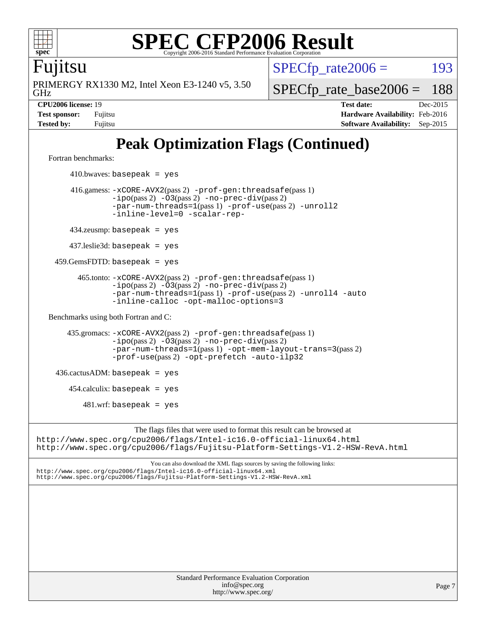

Fujitsu

GHz PRIMERGY RX1330 M2, Intel Xeon E3-1240 v5, 3.50  $SPECTp\_rate2006 = 193$ 

[SPECfp\\_rate\\_base2006 =](http://www.spec.org/auto/cpu2006/Docs/result-fields.html#SPECfpratebase2006) 188

**[CPU2006 license:](http://www.spec.org/auto/cpu2006/Docs/result-fields.html#CPU2006license)** 19 **[Test date:](http://www.spec.org/auto/cpu2006/Docs/result-fields.html#Testdate)** Dec-2015 **[Test sponsor:](http://www.spec.org/auto/cpu2006/Docs/result-fields.html#Testsponsor)** Fujitsu **[Hardware Availability:](http://www.spec.org/auto/cpu2006/Docs/result-fields.html#HardwareAvailability)** Feb-2016 **[Tested by:](http://www.spec.org/auto/cpu2006/Docs/result-fields.html#Testedby)** Fujitsu **[Software Availability:](http://www.spec.org/auto/cpu2006/Docs/result-fields.html#SoftwareAvailability)** Sep-2015

### **[Peak Optimization Flags \(Continued\)](http://www.spec.org/auto/cpu2006/Docs/result-fields.html#PeakOptimizationFlags)**

[Fortran benchmarks](http://www.spec.org/auto/cpu2006/Docs/result-fields.html#Fortranbenchmarks):

 $410.bwaves: basepeak = yes$  416.gamess: [-xCORE-AVX2](http://www.spec.org/cpu2006/results/res2016q1/cpu2006-20160111-38670.flags.html#user_peakPASS2_FFLAGSPASS2_LDFLAGS416_gamess_f-xAVX2_5f5fc0cbe2c9f62c816d3e45806c70d7)(pass 2) [-prof-gen:threadsafe](http://www.spec.org/cpu2006/results/res2016q1/cpu2006-20160111-38670.flags.html#user_peakPASS1_FFLAGSPASS1_LDFLAGS416_gamess_prof_gen_21a26eb79f378b550acd7bec9fe4467a)(pass 1) [-ipo](http://www.spec.org/cpu2006/results/res2016q1/cpu2006-20160111-38670.flags.html#user_peakPASS2_FFLAGSPASS2_LDFLAGS416_gamess_f-ipo)(pass 2) [-O3](http://www.spec.org/cpu2006/results/res2016q1/cpu2006-20160111-38670.flags.html#user_peakPASS2_FFLAGSPASS2_LDFLAGS416_gamess_f-O3)(pass 2) [-no-prec-div](http://www.spec.org/cpu2006/results/res2016q1/cpu2006-20160111-38670.flags.html#user_peakPASS2_FFLAGSPASS2_LDFLAGS416_gamess_f-no-prec-div)(pass 2) [-par-num-threads=1](http://www.spec.org/cpu2006/results/res2016q1/cpu2006-20160111-38670.flags.html#user_peakPASS1_FFLAGSPASS1_LDFLAGS416_gamess_par_num_threads_786a6ff141b4e9e90432e998842df6c2)(pass 1) [-prof-use](http://www.spec.org/cpu2006/results/res2016q1/cpu2006-20160111-38670.flags.html#user_peakPASS2_FFLAGSPASS2_LDFLAGS416_gamess_prof_use_bccf7792157ff70d64e32fe3e1250b55)(pass 2) [-unroll2](http://www.spec.org/cpu2006/results/res2016q1/cpu2006-20160111-38670.flags.html#user_peakOPTIMIZE416_gamess_f-unroll_784dae83bebfb236979b41d2422d7ec2) [-inline-level=0](http://www.spec.org/cpu2006/results/res2016q1/cpu2006-20160111-38670.flags.html#user_peakOPTIMIZE416_gamess_f-inline-level_318d07a09274ad25e8d15dbfaa68ba50) [-scalar-rep-](http://www.spec.org/cpu2006/results/res2016q1/cpu2006-20160111-38670.flags.html#user_peakOPTIMIZE416_gamess_f-disablescalarrep_abbcad04450fb118e4809c81d83c8a1d) 434.zeusmp: basepeak = yes 437.leslie3d: basepeak = yes 459.GemsFDTD: basepeak = yes 465.tonto: [-xCORE-AVX2](http://www.spec.org/cpu2006/results/res2016q1/cpu2006-20160111-38670.flags.html#user_peakPASS2_FFLAGSPASS2_LDFLAGS465_tonto_f-xAVX2_5f5fc0cbe2c9f62c816d3e45806c70d7)(pass 2) [-prof-gen:threadsafe](http://www.spec.org/cpu2006/results/res2016q1/cpu2006-20160111-38670.flags.html#user_peakPASS1_FFLAGSPASS1_LDFLAGS465_tonto_prof_gen_21a26eb79f378b550acd7bec9fe4467a)(pass 1)  $-ipo(pass 2)$  $-ipo(pass 2)$   $-03(pass 2)$   $-no-prec-div(pass 2)$  $-no-prec-div(pass 2)$ [-par-num-threads=1](http://www.spec.org/cpu2006/results/res2016q1/cpu2006-20160111-38670.flags.html#user_peakPASS1_FFLAGSPASS1_LDFLAGS465_tonto_par_num_threads_786a6ff141b4e9e90432e998842df6c2)(pass 1) [-prof-use](http://www.spec.org/cpu2006/results/res2016q1/cpu2006-20160111-38670.flags.html#user_peakPASS2_FFLAGSPASS2_LDFLAGS465_tonto_prof_use_bccf7792157ff70d64e32fe3e1250b55)(pass 2) [-unroll4](http://www.spec.org/cpu2006/results/res2016q1/cpu2006-20160111-38670.flags.html#user_peakOPTIMIZE465_tonto_f-unroll_4e5e4ed65b7fd20bdcd365bec371b81f) [-auto](http://www.spec.org/cpu2006/results/res2016q1/cpu2006-20160111-38670.flags.html#user_peakOPTIMIZE465_tonto_f-auto) [-inline-calloc](http://www.spec.org/cpu2006/results/res2016q1/cpu2006-20160111-38670.flags.html#user_peakOPTIMIZE465_tonto_f-inline-calloc) [-opt-malloc-options=3](http://www.spec.org/cpu2006/results/res2016q1/cpu2006-20160111-38670.flags.html#user_peakOPTIMIZE465_tonto_f-opt-malloc-options_13ab9b803cf986b4ee62f0a5998c2238) [Benchmarks using both Fortran and C](http://www.spec.org/auto/cpu2006/Docs/result-fields.html#BenchmarksusingbothFortranandC): 435.gromacs: [-xCORE-AVX2](http://www.spec.org/cpu2006/results/res2016q1/cpu2006-20160111-38670.flags.html#user_peakPASS2_CFLAGSPASS2_FFLAGSPASS2_LDFLAGS435_gromacs_f-xAVX2_5f5fc0cbe2c9f62c816d3e45806c70d7)(pass 2) [-prof-gen:threadsafe](http://www.spec.org/cpu2006/results/res2016q1/cpu2006-20160111-38670.flags.html#user_peakPASS1_CFLAGSPASS1_FFLAGSPASS1_LDFLAGS435_gromacs_prof_gen_21a26eb79f378b550acd7bec9fe4467a)(pass 1) [-ipo](http://www.spec.org/cpu2006/results/res2016q1/cpu2006-20160111-38670.flags.html#user_peakPASS2_CFLAGSPASS2_FFLAGSPASS2_LDFLAGS435_gromacs_f-ipo)(pass 2) [-O3](http://www.spec.org/cpu2006/results/res2016q1/cpu2006-20160111-38670.flags.html#user_peakPASS2_CFLAGSPASS2_FFLAGSPASS2_LDFLAGS435_gromacs_f-O3)(pass 2) [-no-prec-div](http://www.spec.org/cpu2006/results/res2016q1/cpu2006-20160111-38670.flags.html#user_peakPASS2_CFLAGSPASS2_FFLAGSPASS2_LDFLAGS435_gromacs_f-no-prec-div)(pass 2) [-par-num-threads=1](http://www.spec.org/cpu2006/results/res2016q1/cpu2006-20160111-38670.flags.html#user_peakPASS1_CFLAGSPASS1_FFLAGSPASS1_LDFLAGS435_gromacs_par_num_threads_786a6ff141b4e9e90432e998842df6c2)(pass 1) [-opt-mem-layout-trans=3](http://www.spec.org/cpu2006/results/res2016q1/cpu2006-20160111-38670.flags.html#user_peakPASS2_CFLAGS435_gromacs_f-opt-mem-layout-trans_a7b82ad4bd7abf52556d4961a2ae94d5)(pass 2) [-prof-use](http://www.spec.org/cpu2006/results/res2016q1/cpu2006-20160111-38670.flags.html#user_peakPASS2_CFLAGSPASS2_FFLAGSPASS2_LDFLAGS435_gromacs_prof_use_bccf7792157ff70d64e32fe3e1250b55)(pass 2) [-opt-prefetch](http://www.spec.org/cpu2006/results/res2016q1/cpu2006-20160111-38670.flags.html#user_peakOPTIMIZE435_gromacs_f-opt-prefetch) [-auto-ilp32](http://www.spec.org/cpu2006/results/res2016q1/cpu2006-20160111-38670.flags.html#user_peakCOPTIMIZE435_gromacs_f-auto-ilp32)  $436.cactusADM:basepeak = yes$  454.calculix: basepeak = yes  $481.$ wrf: basepeak = yes The flags files that were used to format this result can be browsed at <http://www.spec.org/cpu2006/flags/Intel-ic16.0-official-linux64.html> <http://www.spec.org/cpu2006/flags/Fujitsu-Platform-Settings-V1.2-HSW-RevA.html> You can also download the XML flags sources by saving the following links: <http://www.spec.org/cpu2006/flags/Intel-ic16.0-official-linux64.xml> <http://www.spec.org/cpu2006/flags/Fujitsu-Platform-Settings-V1.2-HSW-RevA.xml>